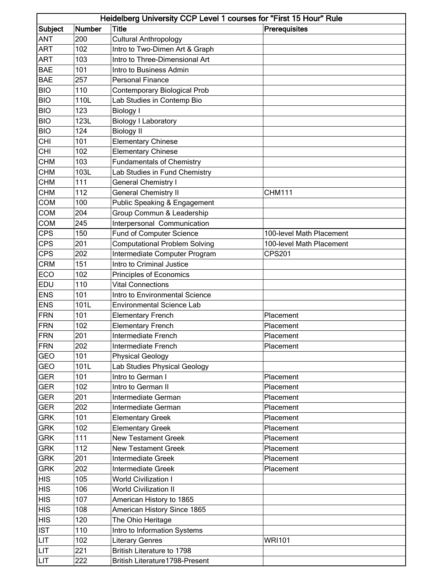| Heidelberg University CCP Level 1 courses for "First 15 Hour" Rule |               |                                      |                          |  |
|--------------------------------------------------------------------|---------------|--------------------------------------|--------------------------|--|
| Subject                                                            | <b>Number</b> | <b>Title</b>                         | Prerequisites            |  |
| ANT                                                                | 200           | <b>Cultural Anthropology</b>         |                          |  |
| <b>ART</b>                                                         | 102           | Intro to Two-Dimen Art & Graph       |                          |  |
| <b>ART</b>                                                         | 103           | Intro to Three-Dimensional Art       |                          |  |
| <b>BAE</b>                                                         | 101           | Intro to Business Admin              |                          |  |
| <b>BAE</b>                                                         | 257           | <b>Personal Finance</b>              |                          |  |
| <b>BIO</b>                                                         | 110           | <b>Contemporary Biological Prob</b>  |                          |  |
| <b>BIO</b>                                                         | 110L          | Lab Studies in Contemp Bio           |                          |  |
| <b>BIO</b>                                                         | 123           | <b>Biology I</b>                     |                          |  |
| <b>BIO</b>                                                         | 123L          | <b>Biology I Laboratory</b>          |                          |  |
| <b>BIO</b>                                                         | 124           | <b>Biology II</b>                    |                          |  |
| <b>CHI</b>                                                         | 101           | <b>Elementary Chinese</b>            |                          |  |
| <b>CHI</b>                                                         | 102           | <b>Elementary Chinese</b>            |                          |  |
| <b>CHM</b>                                                         | 103           | <b>Fundamentals of Chemistry</b>     |                          |  |
| <b>CHM</b>                                                         | 103L          | Lab Studies in Fund Chemistry        |                          |  |
| <b>CHM</b>                                                         | 111           | <b>General Chemistry I</b>           |                          |  |
| <b>CHM</b>                                                         | 112           | <b>General Chemistry II</b>          | <b>CHM111</b>            |  |
| <b>COM</b>                                                         | 100           | Public Speaking & Engagement         |                          |  |
| <b>COM</b>                                                         | 204           | Group Commun & Leadership            |                          |  |
| <b>COM</b>                                                         | 245           | Interpersonal Communication          |                          |  |
| <b>CPS</b>                                                         | 150           | <b>Fund of Computer Science</b>      | 100-level Math Placement |  |
| <b>CPS</b>                                                         | 201           | <b>Computational Problem Solving</b> | 100-level Math Placement |  |
| <b>CPS</b>                                                         | 202           | Intermediate Computer Program        | <b>CPS201</b>            |  |
| <b>CRM</b>                                                         | 151           | Intro to Criminal Justice            |                          |  |
| ECO                                                                | 102           | Principles of Economics              |                          |  |
| EDU                                                                | 110           | <b>Vital Connections</b>             |                          |  |
| <b>ENS</b>                                                         | 101           | Intro to Environmental Science       |                          |  |
| <b>ENS</b>                                                         | 101L          | <b>Environmental Science Lab</b>     |                          |  |
| <b>FRN</b>                                                         | 101           | <b>Elementary French</b>             | Placement                |  |
| <b>FRN</b>                                                         | 102           | <b>Elementary French</b>             | Placement                |  |
| <b>FRN</b>                                                         | 201           | Intermediate French                  | Placement                |  |
| <b>FRN</b>                                                         | 202           | Intermediate French                  | Placement                |  |
| <b>GEO</b>                                                         | 101           | <b>Physical Geology</b>              |                          |  |
| <b>GEO</b>                                                         | 101L          | Lab Studies Physical Geology         |                          |  |
| <b>GER</b>                                                         | 101           | Intro to German I                    | Placement                |  |
| <b>GER</b>                                                         | 102           | Intro to German II                   | Placement                |  |
| <b>GER</b>                                                         | 201           | Intermediate German                  | Placement                |  |
| <b>GER</b>                                                         | 202           | Intermediate German                  | Placement                |  |
| <b>GRK</b>                                                         | 101           | <b>Elementary Greek</b>              | Placement                |  |
| <b>GRK</b>                                                         | 102           | <b>Elementary Greek</b>              | Placement                |  |
| <b>GRK</b>                                                         | 111           | <b>New Testament Greek</b>           | Placement                |  |
| <b>GRK</b>                                                         | 112           | <b>New Testament Greek</b>           | Placement                |  |
| <b>GRK</b>                                                         | 201           | Intermediate Greek                   | Placement                |  |
| <b>GRK</b>                                                         | 202           | Intermediate Greek                   | Placement                |  |
| <b>HIS</b>                                                         | 105           | <b>World Civilization I</b>          |                          |  |
| <b>HIS</b>                                                         | 106           | <b>World Civilization II</b>         |                          |  |
| <b>HIS</b>                                                         | 107           | American History to 1865             |                          |  |
| <b>HIS</b>                                                         | 108           | American History Since 1865          |                          |  |
| <b>HIS</b>                                                         | 120           | The Ohio Heritage                    |                          |  |
| <b>IST</b>                                                         | 110           | Intro to Information Systems         |                          |  |
| LIT                                                                | 102           | <b>Literary Genres</b>               | <b>WRI101</b>            |  |
| <b>LIT</b>                                                         | 221           | British Literature to 1798           |                          |  |
| LIT                                                                | 222           | British Literature1798-Present       |                          |  |